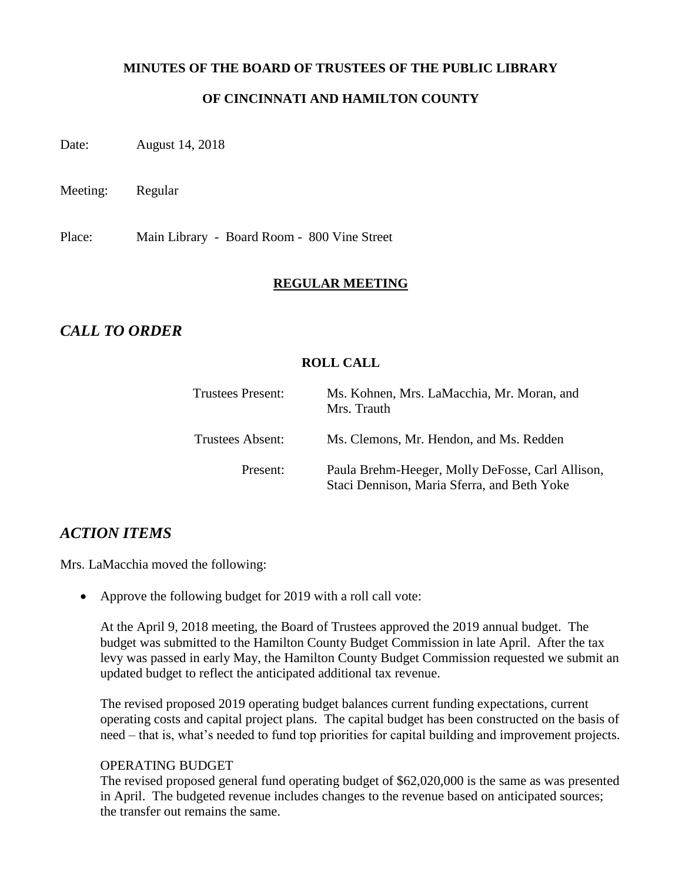### **MINUTES OF THE BOARD OF TRUSTEES OF THE PUBLIC LIBRARY**

# **OF CINCINNATI AND HAMILTON COUNTY**

Date: August 14, 2018

Meeting: Regular

Place: Main Library - Board Room - 800 Vine Street

#### **REGULAR MEETING**

# *CALL TO ORDER*

### **ROLL CALL**

| <b>Trustees Present:</b> | Ms. Kohnen, Mrs. LaMacchia, Mr. Moran, and<br>Mrs. Trauth                                       |
|--------------------------|-------------------------------------------------------------------------------------------------|
| Trustees Absent:         | Ms. Clemons, Mr. Hendon, and Ms. Redden                                                         |
| Present:                 | Paula Brehm-Heeger, Molly DeFosse, Carl Allison,<br>Staci Dennison, Maria Sferra, and Beth Yoke |

# *ACTION ITEMS*

Mrs. LaMacchia moved the following:

• Approve the following budget for 2019 with a roll call vote:

At the April 9, 2018 meeting, the Board of Trustees approved the 2019 annual budget. The budget was submitted to the Hamilton County Budget Commission in late April. After the tax levy was passed in early May, the Hamilton County Budget Commission requested we submit an updated budget to reflect the anticipated additional tax revenue.

The revised proposed 2019 operating budget balances current funding expectations, current operating costs and capital project plans. The capital budget has been constructed on the basis of need – that is, what's needed to fund top priorities for capital building and improvement projects.

#### OPERATING BUDGET

The revised proposed general fund operating budget of \$62,020,000 is the same as was presented in April. The budgeted revenue includes changes to the revenue based on anticipated sources; the transfer out remains the same.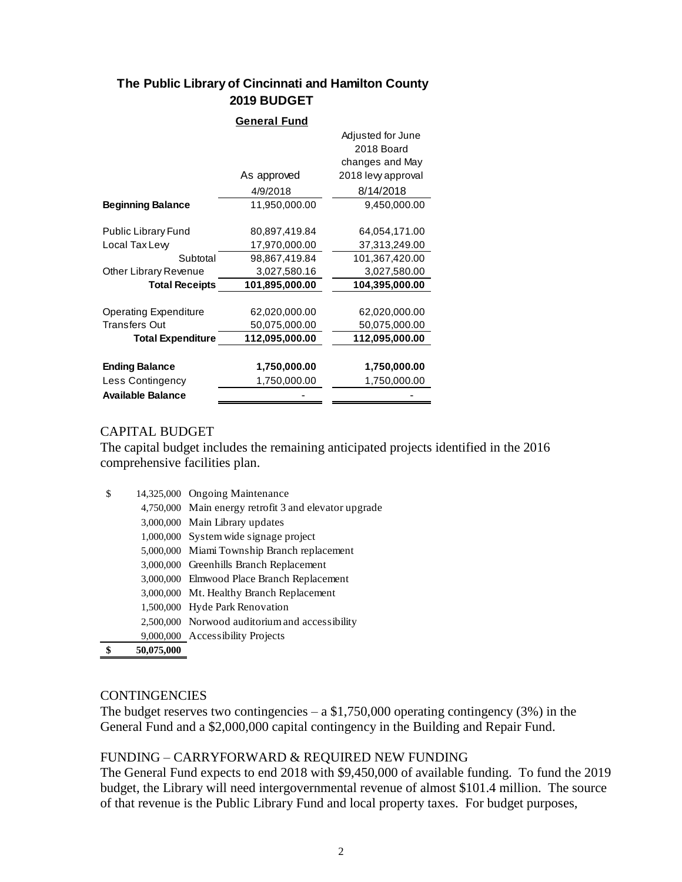### **The Public Library of Cincinnati and Hamilton County 2019 BUDGET**

|                              | <b>General Fund</b> |                                                    |
|------------------------------|---------------------|----------------------------------------------------|
|                              |                     | Adjusted for June<br>2018 Board<br>changes and May |
|                              | As approved         | 2018 levy approval                                 |
|                              | 4/9/2018            | 8/14/2018                                          |
| <b>Beginning Balance</b>     | 11,950,000.00       | 9,450,000.00                                       |
|                              |                     |                                                    |
| <b>Public Library Fund</b>   | 80,897,419.84       | 64,054,171.00                                      |
| Local Tax Lew                | 17,970,000.00       | 37,313,249.00                                      |
| Subtotal                     | 98,867,419.84       | 101,367,420.00                                     |
| Other Library Revenue        | 3,027,580.16        | 3,027,580.00                                       |
| <b>Total Receipts</b>        | 101,895,000.00      | 104,395,000.00                                     |
|                              |                     |                                                    |
| <b>Operating Expenditure</b> | 62,020,000.00       | 62,020,000.00                                      |
| <b>Transfers Out</b>         | 50,075,000.00       | 50,075,000.00                                      |
| <b>Total Expenditure</b>     | 112,095,000.00      | 112,095,000.00                                     |
|                              |                     |                                                    |
| <b>Ending Balance</b>        | 1,750,000.00        | 1,750,000.00                                       |
| Less Contingency             | 1,750,000.00        | 1,750,000.00                                       |
| <b>Available Balance</b>     |                     |                                                    |

# CAPITAL BUDGET

The capital budget includes the remaining anticipated projects identified in the 2016 comprehensive facilities plan.

| \$         | 14,325,000 Ongoing Maintenance                        |
|------------|-------------------------------------------------------|
|            | 4,750,000 Main energy retrofit 3 and elevator upgrade |
|            | 3,000,000 Main Library updates                        |
|            | 1,000,000 System wide signage project                 |
|            | 5,000,000 Miami Township Branch replacement           |
|            | 3,000,000 Greenhills Branch Replacement               |
|            | 3,000,000 Elmwood Place Branch Replacement            |
|            | 3,000,000 Mt. Healthy Branch Replacement              |
|            | 1,500,000 Hyde Park Renovation                        |
|            | 2,500,000 Norwood auditorium and accessibility        |
|            | 9,000,000 Accessibility Projects                      |
| 50,075,000 |                                                       |

# **CONTINGENCIES**

The budget reserves two contingencies  $- a $1,750,000$  operating contingency (3%) in the General Fund and a \$2,000,000 capital contingency in the Building and Repair Fund.

#### FUNDING – CARRYFORWARD & REQUIRED NEW FUNDING

The General Fund expects to end 2018 with \$9,450,000 of available funding. To fund the 2019 budget, the Library will need intergovernmental revenue of almost \$101.4 million. The source of that revenue is the Public Library Fund and local property taxes. For budget purposes,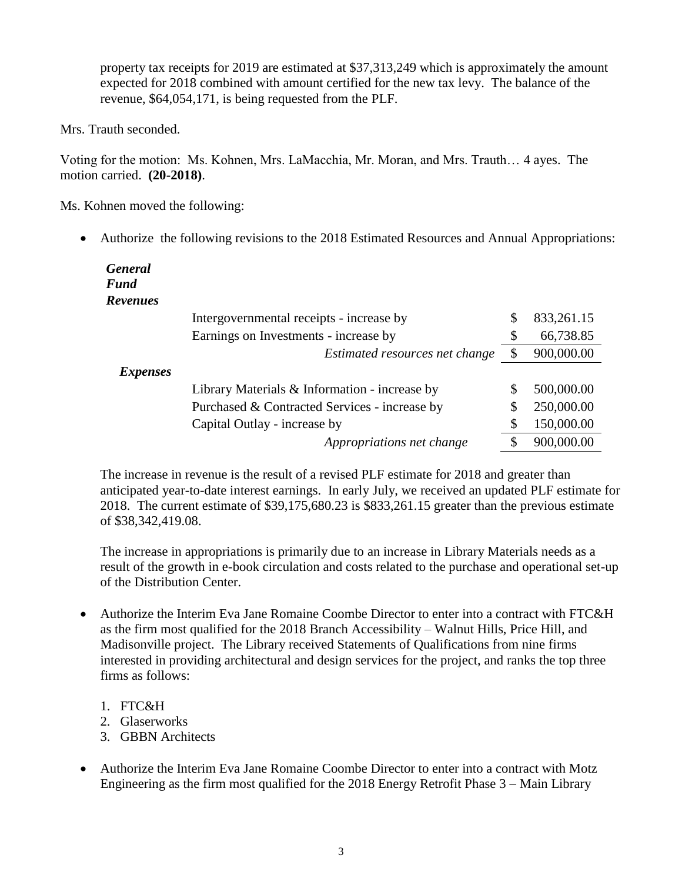property tax receipts for 2019 are estimated at \$37,313,249 which is approximately the amount expected for 2018 combined with amount certified for the new tax levy. The balance of the revenue, \$64,054,171, is being requested from the PLF.

Mrs. Trauth seconded.

Voting for the motion: Ms. Kohnen, Mrs. LaMacchia, Mr. Moran, and Mrs. Trauth… 4 ayes. The motion carried. **(20-2018)**.

Ms. Kohnen moved the following:

Authorize the following revisions to the 2018 Estimated Resources and Annual Appropriations:

| <b>General</b><br><b>Fund</b> |                                                 |                  |
|-------------------------------|-------------------------------------------------|------------------|
| <b>Revenues</b>               |                                                 |                  |
|                               | Intergovernmental receipts - increase by        | \$<br>833,261.15 |
|                               | Earnings on Investments - increase by           | \$<br>66,738.85  |
|                               | Estimated resources net change                  | \$<br>900,000.00 |
| <i>Expenses</i>               |                                                 |                  |
|                               | Library Materials $&$ Information - increase by | 500,000.00       |
|                               | Purchased & Contracted Services - increase by   | 250,000.00       |
|                               | Capital Outlay - increase by                    | 150,000.00       |
|                               | Appropriations net change                       | 900,000.00       |

The increase in revenue is the result of a revised PLF estimate for 2018 and greater than anticipated year-to-date interest earnings. In early July, we received an updated PLF estimate for 2018. The current estimate of \$39,175,680.23 is \$833,261.15 greater than the previous estimate of \$38,342,419.08.

The increase in appropriations is primarily due to an increase in Library Materials needs as a result of the growth in e-book circulation and costs related to the purchase and operational set-up of the Distribution Center.

- Authorize the Interim Eva Jane Romaine Coombe Director to enter into a contract with FTC&H as the firm most qualified for the 2018 Branch Accessibility – Walnut Hills, Price Hill, and Madisonville project. The Library received Statements of Qualifications from nine firms interested in providing architectural and design services for the project, and ranks the top three firms as follows:
	- 1. FTC&H
	- 2. Glaserworks
	- 3. GBBN Architects
- Authorize the Interim Eva Jane Romaine Coombe Director to enter into a contract with Motz Engineering as the firm most qualified for the 2018 Energy Retrofit Phase 3 – Main Library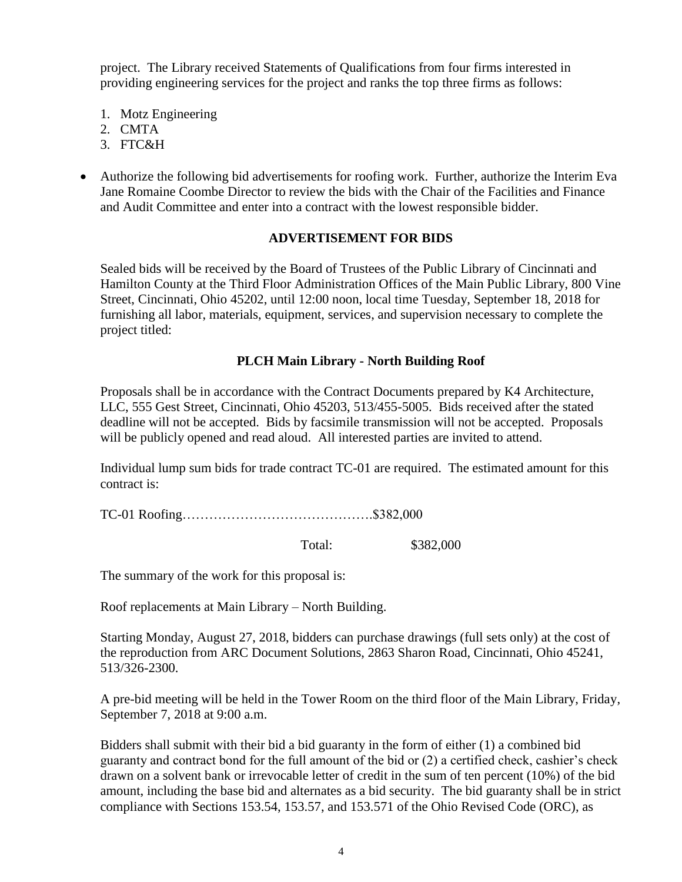project. The Library received Statements of Qualifications from four firms interested in providing engineering services for the project and ranks the top three firms as follows:

- 1. Motz Engineering
- 2. CMTA
- 3. FTC&H
- Authorize the following bid advertisements for roofing work. Further, authorize the Interim Eva Jane Romaine Coombe Director to review the bids with the Chair of the Facilities and Finance and Audit Committee and enter into a contract with the lowest responsible bidder.

### **ADVERTISEMENT FOR BIDS**

Sealed bids will be received by the Board of Trustees of the Public Library of Cincinnati and Hamilton County at the Third Floor Administration Offices of the Main Public Library, 800 Vine Street, Cincinnati, Ohio 45202, until 12:00 noon, local time Tuesday, September 18, 2018 for furnishing all labor, materials, equipment, services, and supervision necessary to complete the project titled:

# **PLCH Main Library - North Building Roof**

Proposals shall be in accordance with the Contract Documents prepared by K4 Architecture, LLC, 555 Gest Street, Cincinnati, Ohio 45203, 513/455-5005. Bids received after the stated deadline will not be accepted. Bids by facsimile transmission will not be accepted. Proposals will be publicly opened and read aloud. All interested parties are invited to attend.

Individual lump sum bids for trade contract TC-01 are required. The estimated amount for this contract is:

TC-01 Roofing…………………………………….\$382,000

Total: \$382,000

The summary of the work for this proposal is:

Roof replacements at Main Library – North Building.

Starting Monday, August 27, 2018, bidders can purchase drawings (full sets only) at the cost of the reproduction from ARC Document Solutions, 2863 Sharon Road, Cincinnati, Ohio 45241, 513/326-2300.

A pre-bid meeting will be held in the Tower Room on the third floor of the Main Library, Friday, September 7, 2018 at 9:00 a.m.

Bidders shall submit with their bid a bid guaranty in the form of either (1) a combined bid guaranty and contract bond for the full amount of the bid or (2) a certified check, cashier's check drawn on a solvent bank or irrevocable letter of credit in the sum of ten percent (10%) of the bid amount, including the base bid and alternates as a bid security. The bid guaranty shall be in strict compliance with Sections 153.54, 153.57, and 153.571 of the Ohio Revised Code (ORC), as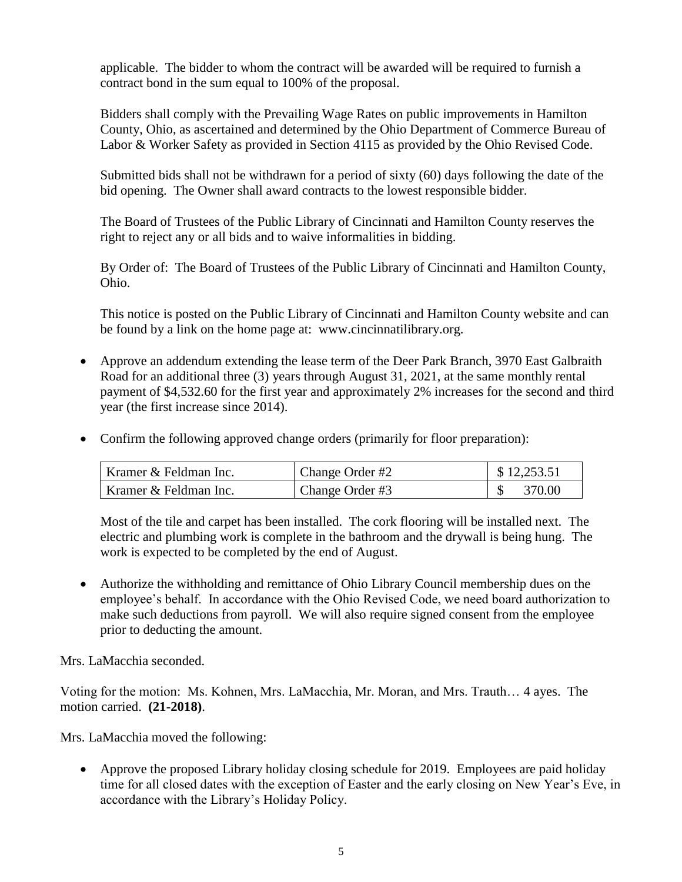applicable. The bidder to whom the contract will be awarded will be required to furnish a contract bond in the sum equal to 100% of the proposal.

Bidders shall comply with the Prevailing Wage Rates on public improvements in Hamilton County, Ohio, as ascertained and determined by the Ohio Department of Commerce Bureau of Labor & Worker Safety as provided in Section 4115 as provided by the Ohio Revised Code.

Submitted bids shall not be withdrawn for a period of sixty (60) days following the date of the bid opening. The Owner shall award contracts to the lowest responsible bidder.

The Board of Trustees of the Public Library of Cincinnati and Hamilton County reserves the right to reject any or all bids and to waive informalities in bidding.

By Order of: The Board of Trustees of the Public Library of Cincinnati and Hamilton County, Ohio.

This notice is posted on the Public Library of Cincinnati and Hamilton County website and can be found by a link on the home page at: www.cincinnatilibrary.org.

- Approve an addendum extending the lease term of the Deer Park Branch, 3970 East Galbraith Road for an additional three (3) years through August 31, 2021, at the same monthly rental payment of \$4,532.60 for the first year and approximately 2% increases for the second and third year (the first increase since 2014).
- Confirm the following approved change orders (primarily for floor preparation):

| Kramer & Feldman Inc. | Change Order #2 | \$12,253.51 |
|-----------------------|-----------------|-------------|
| Kramer & Feldman Inc. | Change Order #3 | 370.00      |

Most of the tile and carpet has been installed. The cork flooring will be installed next. The electric and plumbing work is complete in the bathroom and the drywall is being hung. The work is expected to be completed by the end of August.

 Authorize the withholding and remittance of Ohio Library Council membership dues on the employee's behalf. In accordance with the Ohio Revised Code, we need board authorization to make such deductions from payroll. We will also require signed consent from the employee prior to deducting the amount.

Mrs. LaMacchia seconded.

Voting for the motion: Ms. Kohnen, Mrs. LaMacchia, Mr. Moran, and Mrs. Trauth… 4 ayes. The motion carried. **(21-2018)**.

Mrs. LaMacchia moved the following:

• Approve the proposed Library holiday closing schedule for 2019. Employees are paid holiday time for all closed dates with the exception of Easter and the early closing on New Year's Eve, in accordance with the Library's Holiday Policy.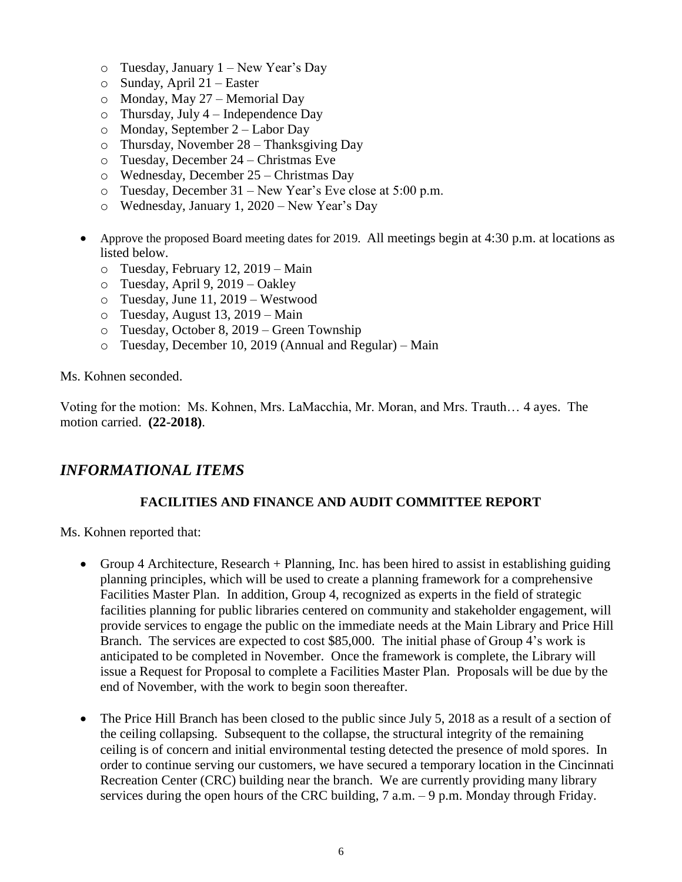- $\circ$  Tuesday, January 1 New Year's Day
- o Sunday, April 21 Easter
- o Monday, May 27 Memorial Day
- $\circ$  Thursday, July 4 Independence Day
- o Monday, September 2 Labor Day
- o Thursday, November 28 Thanksgiving Day
- o Tuesday, December 24 Christmas Eve
- o Wednesday, December 25 Christmas Day
- o Tuesday, December 31 New Year's Eve close at 5:00 p.m.
- o Wednesday, January 1, 2020 New Year's Day
- Approve the proposed Board meeting dates for 2019. All meetings begin at 4:30 p.m. at locations as listed below.
	- o Tuesday, February 12, 2019 Main
	- o Tuesday, April 9, 2019 Oakley
	- o Tuesday, June 11, 2019 Westwood
	- o Tuesday, August 13, 2019 Main
	- o Tuesday, October 8, 2019 Green Township
	- o Tuesday, December 10, 2019 (Annual and Regular) Main

Ms. Kohnen seconded.

Voting for the motion: Ms. Kohnen, Mrs. LaMacchia, Mr. Moran, and Mrs. Trauth… 4 ayes. The motion carried. **(22-2018)**.

# *INFORMATIONAL ITEMS*

# **FACILITIES AND FINANCE AND AUDIT COMMITTEE REPORT**

Ms. Kohnen reported that:

- Group 4 Architecture, Research + Planning, Inc. has been hired to assist in establishing guiding planning principles, which will be used to create a planning framework for a comprehensive Facilities Master Plan. In addition, Group 4, recognized as experts in the field of strategic facilities planning for public libraries centered on community and stakeholder engagement, will provide services to engage the public on the immediate needs at the Main Library and Price Hill Branch. The services are expected to cost \$85,000. The initial phase of Group 4's work is anticipated to be completed in November. Once the framework is complete, the Library will issue a Request for Proposal to complete a Facilities Master Plan. Proposals will be due by the end of November, with the work to begin soon thereafter.
- The Price Hill Branch has been closed to the public since July 5, 2018 as a result of a section of the ceiling collapsing. Subsequent to the collapse, the structural integrity of the remaining ceiling is of concern and initial environmental testing detected the presence of mold spores. In order to continue serving our customers, we have secured a temporary location in the Cincinnati Recreation Center (CRC) building near the branch. We are currently providing many library services during the open hours of the CRC building, 7 a.m. – 9 p.m. Monday through Friday.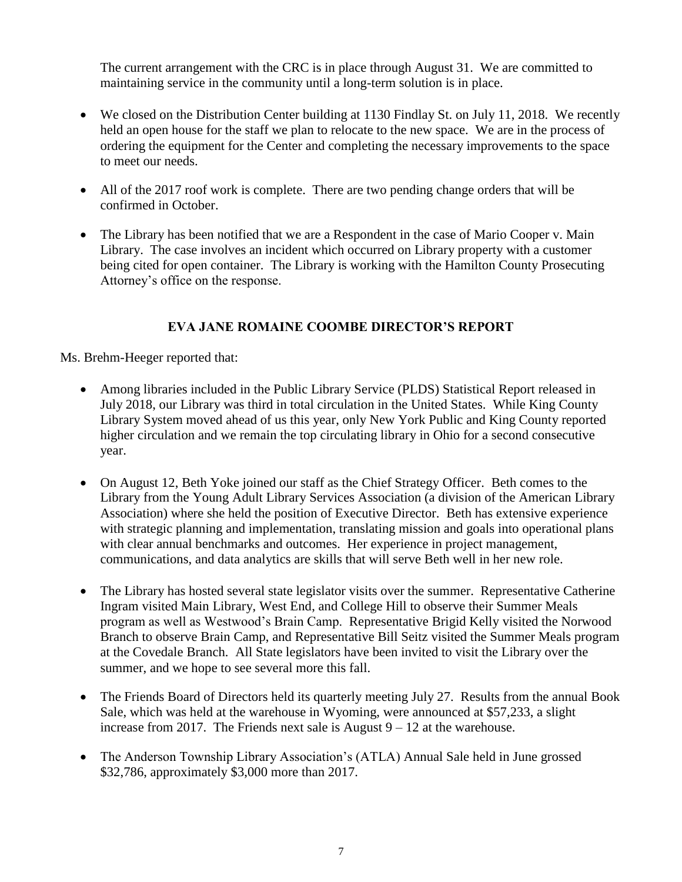The current arrangement with the CRC is in place through August 31. We are committed to maintaining service in the community until a long-term solution is in place.

- We closed on the Distribution Center building at 1130 Findlay St. on July 11, 2018. We recently held an open house for the staff we plan to relocate to the new space. We are in the process of ordering the equipment for the Center and completing the necessary improvements to the space to meet our needs.
- All of the 2017 roof work is complete. There are two pending change orders that will be confirmed in October.
- The Library has been notified that we are a Respondent in the case of Mario Cooper v. Main Library. The case involves an incident which occurred on Library property with a customer being cited for open container. The Library is working with the Hamilton County Prosecuting Attorney's office on the response.

# **EVA JANE ROMAINE COOMBE DIRECTOR'S REPORT**

Ms. Brehm-Heeger reported that:

- Among libraries included in the Public Library Service (PLDS) Statistical Report released in July 2018, our Library was third in total circulation in the United States. While King County Library System moved ahead of us this year, only New York Public and King County reported higher circulation and we remain the top circulating library in Ohio for a second consecutive year.
- On August 12, Beth Yoke joined our staff as the Chief Strategy Officer. Beth comes to the Library from the Young Adult Library Services Association (a division of the American Library Association) where she held the position of Executive Director. Beth has extensive experience with strategic planning and implementation, translating mission and goals into operational plans with clear annual benchmarks and outcomes. Her experience in project management, communications, and data analytics are skills that will serve Beth well in her new role.
- The Library has hosted several state legislator visits over the summer. Representative Catherine Ingram visited Main Library, West End, and College Hill to observe their Summer Meals program as well as Westwood's Brain Camp. Representative Brigid Kelly visited the Norwood Branch to observe Brain Camp, and Representative Bill Seitz visited the Summer Meals program at the Covedale Branch. All State legislators have been invited to visit the Library over the summer, and we hope to see several more this fall.
- The Friends Board of Directors held its quarterly meeting July 27. Results from the annual Book Sale, which was held at the warehouse in Wyoming, were announced at \$57,233, a slight increase from 2017. The Friends next sale is August  $9 - 12$  at the warehouse.
- The Anderson Township Library Association's (ATLA) Annual Sale held in June grossed \$32,786, approximately \$3,000 more than 2017.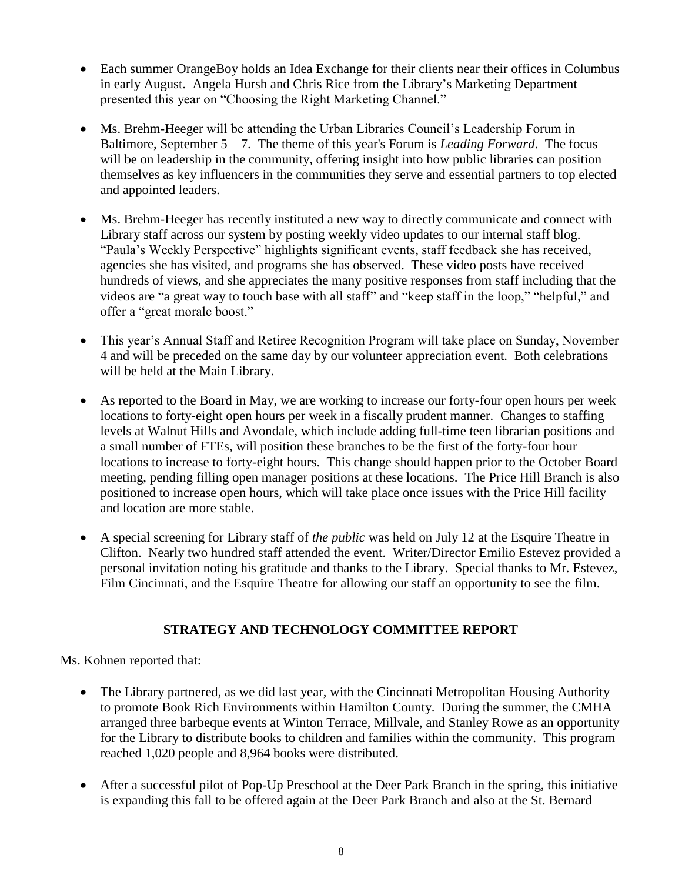- Each summer OrangeBoy holds an Idea Exchange for their clients near their offices in Columbus in early August. Angela Hursh and Chris Rice from the Library's Marketing Department presented this year on "Choosing the Right Marketing Channel."
- Ms. Brehm-Heeger will be attending the Urban Libraries Council's Leadership Forum in Baltimore, September 5 – 7. The theme of this year's Forum is *Leading Forward*. The focus will be on leadership in the community, offering insight into how public libraries can position themselves as key influencers in the communities they serve and essential partners to top elected and appointed leaders.
- Ms. Brehm-Heeger has recently instituted a new way to directly communicate and connect with Library staff across our system by posting weekly video updates to our internal staff blog. "Paula's Weekly Perspective" highlights significant events, staff feedback she has received, agencies she has visited, and programs she has observed. These video posts have received hundreds of views, and she appreciates the many positive responses from staff including that the videos are "a great way to touch base with all staff" and "keep staff in the loop," "helpful," and offer a "great morale boost."
- This year's Annual Staff and Retiree Recognition Program will take place on Sunday, November 4 and will be preceded on the same day by our volunteer appreciation event. Both celebrations will be held at the Main Library.
- As reported to the Board in May, we are working to increase our forty-four open hours per week locations to forty-eight open hours per week in a fiscally prudent manner. Changes to staffing levels at Walnut Hills and Avondale, which include adding full-time teen librarian positions and a small number of FTEs, will position these branches to be the first of the forty-four hour locations to increase to forty-eight hours. This change should happen prior to the October Board meeting, pending filling open manager positions at these locations. The Price Hill Branch is also positioned to increase open hours, which will take place once issues with the Price Hill facility and location are more stable.
- A special screening for Library staff of *the public* was held on July 12 at the Esquire Theatre in Clifton. Nearly two hundred staff attended the event. Writer/Director Emilio Estevez provided a personal invitation noting his gratitude and thanks to the Library. Special thanks to Mr. Estevez, Film Cincinnati, and the Esquire Theatre for allowing our staff an opportunity to see the film.

# **STRATEGY AND TECHNOLOGY COMMITTEE REPORT**

Ms. Kohnen reported that:

- The Library partnered, as we did last year, with the Cincinnati Metropolitan Housing Authority to promote Book Rich Environments within Hamilton County. During the summer, the CMHA arranged three barbeque events at Winton Terrace, Millvale, and Stanley Rowe as an opportunity for the Library to distribute books to children and families within the community. This program reached 1,020 people and 8,964 books were distributed.
- After a successful pilot of Pop-Up Preschool at the Deer Park Branch in the spring, this initiative is expanding this fall to be offered again at the Deer Park Branch and also at the St. Bernard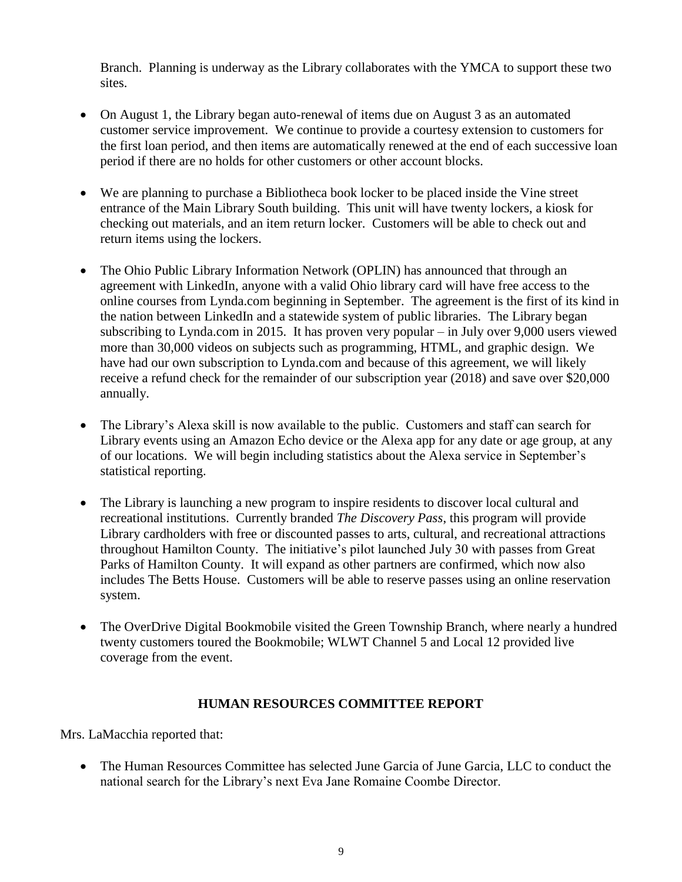Branch. Planning is underway as the Library collaborates with the YMCA to support these two sites.

- On August 1, the Library began auto-renewal of items due on August 3 as an automated customer service improvement. We continue to provide a courtesy extension to customers for the first loan period, and then items are automatically renewed at the end of each successive loan period if there are no holds for other customers or other account blocks.
- We are planning to purchase a Bibliotheca book locker to be placed inside the Vine street entrance of the Main Library South building. This unit will have twenty lockers, a kiosk for checking out materials, and an item return locker. Customers will be able to check out and return items using the lockers.
- The Ohio Public Library Information Network (OPLIN) has announced that through an agreement with LinkedIn, anyone with a valid Ohio library card will have free access to the online courses from Lynda.com beginning in September. The agreement is the first of its kind in the nation between LinkedIn and a statewide system of public libraries. The Library began subscribing to Lynda.com in 2015. It has proven very popular – in July over 9,000 users viewed more than 30,000 videos on subjects such as programming, HTML, and graphic design. We have had our own subscription to Lynda.com and because of this agreement, we will likely receive a refund check for the remainder of our subscription year (2018) and save over \$20,000 annually.
- The Library's Alexa skill is now available to the public. Customers and staff can search for Library events using an Amazon Echo device or the Alexa app for any date or age group, at any of our locations. We will begin including statistics about the Alexa service in September's statistical reporting.
- The Library is launching a new program to inspire residents to discover local cultural and recreational institutions. Currently branded *The Discovery Pass*, this program will provide Library cardholders with free or discounted passes to arts, cultural, and recreational attractions throughout Hamilton County. The initiative's pilot launched July 30 with passes from Great Parks of Hamilton County. It will expand as other partners are confirmed, which now also includes The Betts House. Customers will be able to reserve passes using an online reservation system.
- The OverDrive Digital Bookmobile visited the Green Township Branch, where nearly a hundred twenty customers toured the Bookmobile; WLWT Channel 5 and Local 12 provided live coverage from the event.

# **HUMAN RESOURCES COMMITTEE REPORT**

Mrs. LaMacchia reported that:

• The Human Resources Committee has selected June Garcia of June Garcia, LLC to conduct the national search for the Library's next Eva Jane Romaine Coombe Director.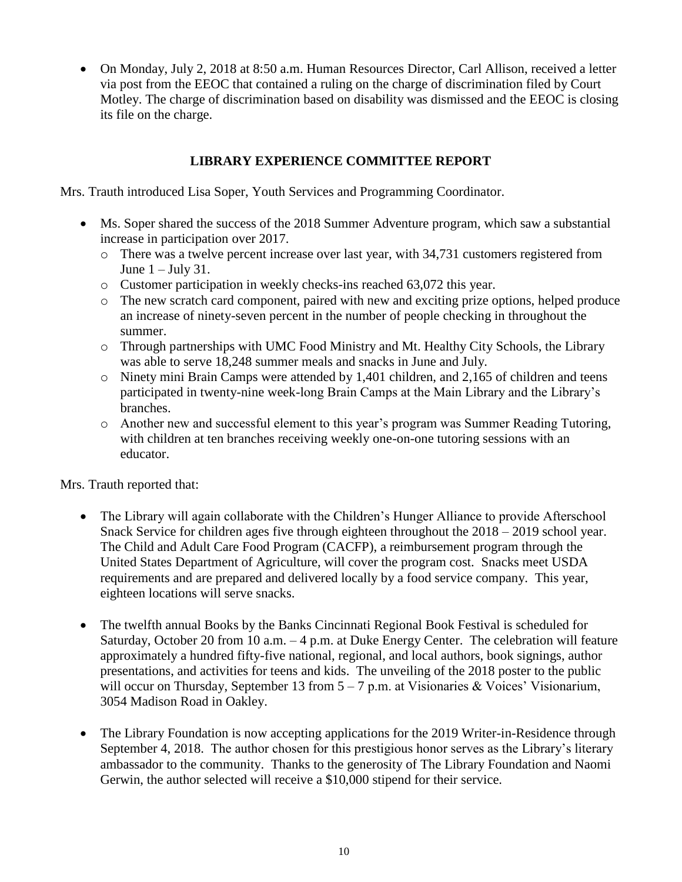On Monday, July 2, 2018 at 8:50 a.m. Human Resources Director, Carl Allison, received a letter via post from the EEOC that contained a ruling on the charge of discrimination filed by Court Motley. The charge of discrimination based on disability was dismissed and the EEOC is closing its file on the charge.

### **LIBRARY EXPERIENCE COMMITTEE REPORT**

Mrs. Trauth introduced Lisa Soper, Youth Services and Programming Coordinator.

- Ms. Soper shared the success of the 2018 Summer Adventure program, which saw a substantial increase in participation over 2017.
	- o There was a twelve percent increase over last year, with 34,731 customers registered from June  $1 -$  July 31.
	- o Customer participation in weekly checks-ins reached 63,072 this year.
	- o The new scratch card component, paired with new and exciting prize options, helped produce an increase of ninety-seven percent in the number of people checking in throughout the summer.
	- o Through partnerships with UMC Food Ministry and Mt. Healthy City Schools, the Library was able to serve 18,248 summer meals and snacks in June and July.
	- o Ninety mini Brain Camps were attended by 1,401 children, and 2,165 of children and teens participated in twenty-nine week-long Brain Camps at the Main Library and the Library's branches.
	- o Another new and successful element to this year's program was Summer Reading Tutoring, with children at ten branches receiving weekly one-on-one tutoring sessions with an educator.

Mrs. Trauth reported that:

- The Library will again collaborate with the Children's Hunger Alliance to provide Afterschool Snack Service for children ages five through eighteen throughout the 2018 – 2019 school year. The Child and Adult Care Food Program (CACFP), a reimbursement program through the United States Department of Agriculture, will cover the program cost. Snacks meet USDA requirements and are prepared and delivered locally by a food service company. This year, eighteen locations will serve snacks.
- The twelfth annual Books by the Banks Cincinnati Regional Book Festival is scheduled for Saturday, October 20 from 10 a.m. – 4 p.m. at Duke Energy Center. The celebration will feature approximately a hundred fifty-five national, regional, and local authors, book signings, author presentations, and activities for teens and kids. The unveiling of the 2018 poster to the public will occur on Thursday, September 13 from  $5 - 7$  p.m. at Visionaries & Voices' Visionarium, 3054 Madison Road in Oakley.
- The Library Foundation is now accepting applications for the 2019 Writer-in-Residence through September 4, 2018. The author chosen for this prestigious honor serves as the Library's literary ambassador to the community. Thanks to the generosity of The Library Foundation and Naomi Gerwin, the author selected will receive a \$10,000 stipend for their service.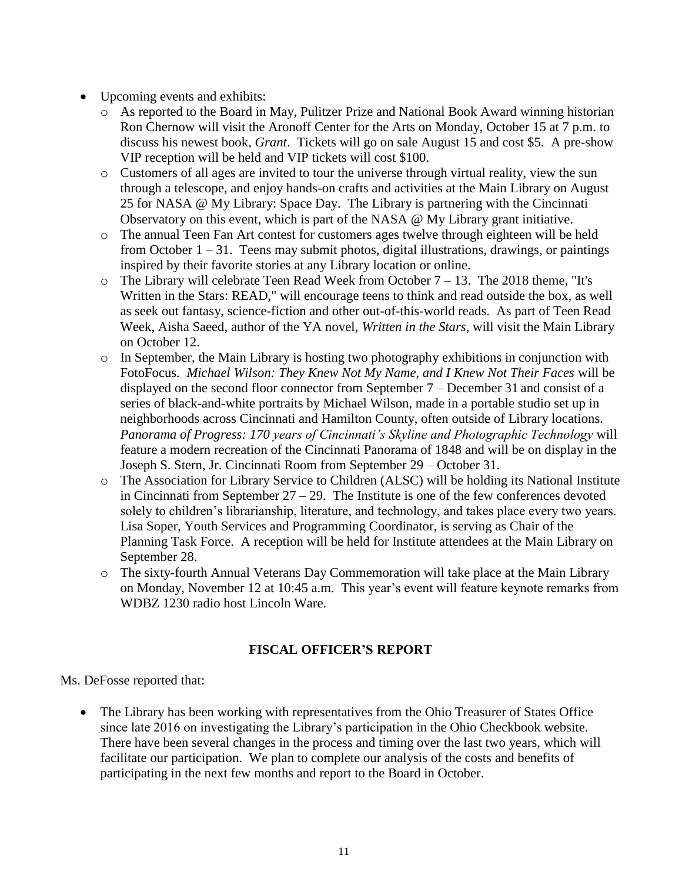- Upcoming events and exhibits:
	- o As reported to the Board in May, Pulitzer Prize and National Book Award winning historian Ron Chernow will visit the Aronoff Center for the Arts on Monday, October 15 at 7 p.m. to discuss his newest book, *Grant*. Tickets will go on sale August 15 and cost \$5. A pre-show VIP reception will be held and VIP tickets will cost \$100.
	- $\circ$  Customers of all ages are invited to tour the universe through virtual reality, view the sun through a telescope, and enjoy hands-on crafts and activities at the Main Library on August 25 for NASA @ My Library: Space Day. The Library is partnering with the Cincinnati Observatory on this event, which is part of the NASA @ My Library grant initiative.
	- o The annual Teen Fan Art contest for customers ages twelve through eighteen will be held from October  $1 - 31$ . Teens may submit photos, digital illustrations, drawings, or paintings inspired by their favorite stories at any Library location or online.
	- $\circ$  The Library will celebrate Teen Read Week from October 7 13. The 2018 theme, "It's Written in the Stars: READ," will encourage teens to think and read outside the box, as well as seek out fantasy, science-fiction and other out-of-this-world reads. As part of Teen Read Week, Aisha Saeed, author of the YA novel, *Written in the Stars*, will visit the Main Library on October 12.
	- o In September, the Main Library is hosting two photography exhibitions in conjunction with FotoFocus. *Michael Wilson: They Knew Not My Name, and I Knew Not Their Faces* will be displayed on the second floor connector from September 7 – December 31 and consist of a series of black-and-white portraits by Michael Wilson, made in a portable studio set up in neighborhoods across Cincinnati and Hamilton County, often outside of Library locations. *Panorama of Progress: 170 years of Cincinnati's Skyline and Photographic Technology* will feature a modern recreation of the Cincinnati Panorama of 1848 and will be on display in the Joseph S. Stern, Jr. Cincinnati Room from September 29 – October 31.
	- o The Association for Library Service to Children (ALSC) will be holding its National Institute in Cincinnati from September  $27 - 29$ . The Institute is one of the few conferences devoted solely to children's librarianship, literature, and technology, and takes place every two years. Lisa Soper, Youth Services and Programming Coordinator, is serving as Chair of the Planning Task Force. A reception will be held for Institute attendees at the Main Library on September 28.
	- o The sixty-fourth Annual Veterans Day Commemoration will take place at the Main Library on Monday, November 12 at 10:45 a.m. This year's event will feature keynote remarks from WDBZ 1230 radio host Lincoln Ware.

# **FISCAL OFFICER'S REPORT**

Ms. DeFosse reported that:

 The Library has been working with representatives from the Ohio Treasurer of States Office since late 2016 on investigating the Library's participation in the Ohio Checkbook website. There have been several changes in the process and timing over the last two years, which will facilitate our participation. We plan to complete our analysis of the costs and benefits of participating in the next few months and report to the Board in October.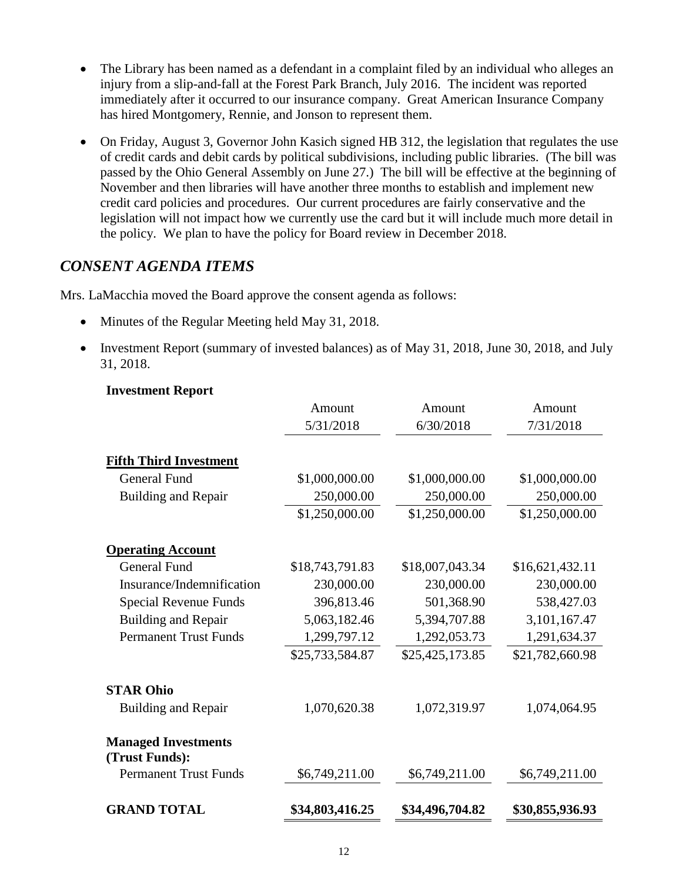- The Library has been named as a defendant in a complaint filed by an individual who alleges an injury from a slip-and-fall at the Forest Park Branch, July 2016. The incident was reported immediately after it occurred to our insurance company. Great American Insurance Company has hired Montgomery, Rennie, and Jonson to represent them.
- On Friday, August 3, Governor John Kasich signed HB 312, the legislation that regulates the use of credit cards and debit cards by political subdivisions, including public libraries. (The bill was passed by the Ohio General Assembly on June 27.) The bill will be effective at the beginning of November and then libraries will have another three months to establish and implement new credit card policies and procedures. Our current procedures are fairly conservative and the legislation will not impact how we currently use the card but it will include much more detail in the policy. We plan to have the policy for Board review in December 2018.

# *CONSENT AGENDA ITEMS*

Mrs. LaMacchia moved the Board approve the consent agenda as follows:

- Minutes of the Regular Meeting held May 31, 2018.
- Investment Report (summary of invested balances) as of May 31, 2018, June 30, 2018, and July 31, 2018.

|                                              | Amount          | Amount          | Amount          |
|----------------------------------------------|-----------------|-----------------|-----------------|
|                                              | 5/31/2018       | 6/30/2018       | 7/31/2018       |
| <b>Fifth Third Investment</b>                |                 |                 |                 |
| <b>General Fund</b>                          | \$1,000,000.00  | \$1,000,000.00  | \$1,000,000.00  |
| <b>Building and Repair</b>                   | 250,000.00      | 250,000.00      | 250,000.00      |
|                                              | \$1,250,000.00  | \$1,250,000.00  | \$1,250,000.00  |
| <b>Operating Account</b>                     |                 |                 |                 |
| <b>General Fund</b>                          | \$18,743,791.83 | \$18,007,043.34 | \$16,621,432.11 |
| Insurance/Indemnification                    | 230,000.00      | 230,000.00      | 230,000.00      |
| Special Revenue Funds                        | 396,813.46      | 501,368.90      | 538,427.03      |
| <b>Building and Repair</b>                   | 5,063,182.46    | 5,394,707.88    | 3,101,167.47    |
| <b>Permanent Trust Funds</b>                 | 1,299,797.12    | 1,292,053.73    | 1,291,634.37    |
|                                              | \$25,733,584.87 | \$25,425,173.85 | \$21,782,660.98 |
| <b>STAR Ohio</b>                             |                 |                 |                 |
| <b>Building and Repair</b>                   | 1,070,620.38    | 1,072,319.97    | 1,074,064.95    |
| <b>Managed Investments</b><br>(Trust Funds): |                 |                 |                 |
| <b>Permanent Trust Funds</b>                 | \$6,749,211.00  | \$6,749,211.00  | \$6,749,211.00  |
| <b>GRAND TOTAL</b>                           | \$34,803,416.25 | \$34,496,704.82 | \$30,855,936.93 |

#### **Investment Report**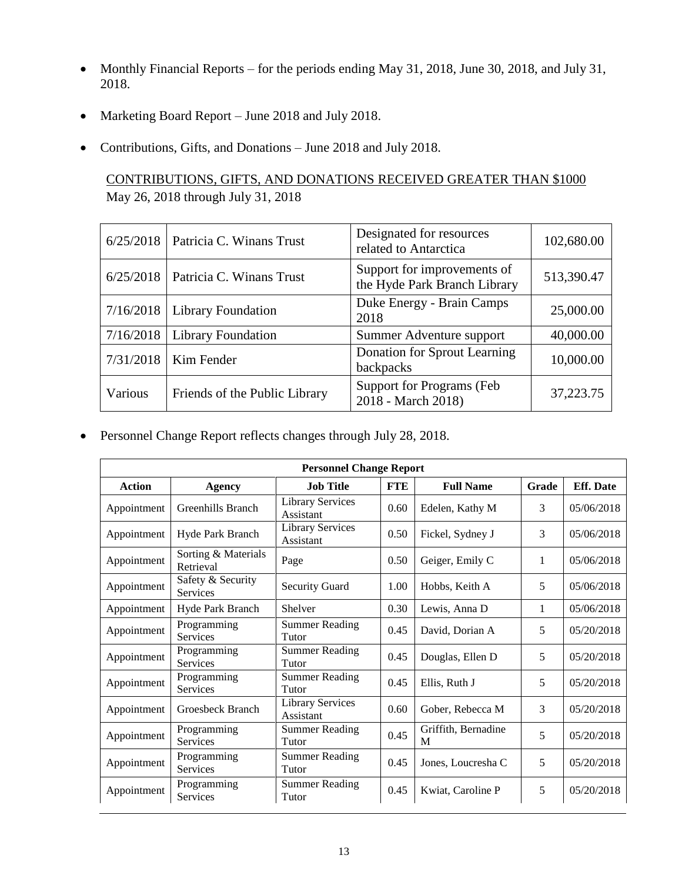- Monthly Financial Reports for the periods ending May 31, 2018, June 30, 2018, and July 31, 2018.
- Marketing Board Report June 2018 and July 2018.
- Contributions, Gifts, and Donations June 2018 and July 2018.

# CONTRIBUTIONS, GIFTS, AND DONATIONS RECEIVED GREATER THAN \$1000 May 26, 2018 through July 31, 2018

|           | $6/25/2018$ Patricia C. Winans Trust | Designated for resources<br>related to Antarctica           | 102,680.00 |
|-----------|--------------------------------------|-------------------------------------------------------------|------------|
|           | $6/25/2018$ Patricia C. Winans Trust | Support for improvements of<br>the Hyde Park Branch Library | 513,390.47 |
|           | $7/16/2018$ Library Foundation       | Duke Energy - Brain Camps<br>2018                           | 25,000.00  |
| 7/16/2018 | <b>Library Foundation</b>            | Summer Adventure support                                    | 40,000.00  |
| 7/31/2018 | Kim Fender                           | Donation for Sprout Learning<br>backpacks                   | 10,000.00  |
| Various   | Friends of the Public Library        | Support for Programs (Feb<br>2018 - March 2018)             | 37,223.75  |

Personnel Change Report reflects changes through July 28, 2018.

| <b>Personnel Change Report</b> |                                  |                                      |            |                          |       |                  |  |
|--------------------------------|----------------------------------|--------------------------------------|------------|--------------------------|-------|------------------|--|
| <b>Action</b>                  | Agency                           | <b>Job Title</b>                     | <b>FTE</b> | <b>Full Name</b>         | Grade | <b>Eff.</b> Date |  |
| Appointment                    | Greenhills Branch                | <b>Library Services</b><br>Assistant | 0.60       | Edelen, Kathy M          | 3     | 05/06/2018       |  |
| Appointment                    | Hyde Park Branch                 | <b>Library Services</b><br>Assistant | 0.50       | Fickel, Sydney J         | 3     | 05/06/2018       |  |
| Appointment                    | Sorting & Materials<br>Retrieval | Page                                 | 0.50       | Geiger, Emily C          | 1     | 05/06/2018       |  |
| Appointment                    | Safety & Security<br>Services    | <b>Security Guard</b>                | 1.00       | Hobbs, Keith A           | 5     | 05/06/2018       |  |
| Appointment                    | Hyde Park Branch                 | Shelver                              | 0.30       | Lewis, Anna D            | 1     | 05/06/2018       |  |
| Appointment                    | Programming<br>Services          | <b>Summer Reading</b><br>Tutor       | 0.45       | David, Dorian A          | 5     | 05/20/2018       |  |
| Appointment                    | Programming<br><b>Services</b>   | <b>Summer Reading</b><br>Tutor       | 0.45       | Douglas, Ellen D         | 5     | 05/20/2018       |  |
| Appointment                    | Programming<br>Services          | <b>Summer Reading</b><br>Tutor       | 0.45       | Ellis, Ruth J            | 5     | 05/20/2018       |  |
| Appointment                    | Groesbeck Branch                 | <b>Library Services</b><br>Assistant | 0.60       | Gober, Rebecca M         | 3     | 05/20/2018       |  |
| Appointment                    | Programming<br><b>Services</b>   | <b>Summer Reading</b><br>Tutor       | 0.45       | Griffith, Bernadine<br>M | 5     | 05/20/2018       |  |
| Appointment                    | Programming<br>Services          | <b>Summer Reading</b><br>Tutor       | 0.45       | Jones, Loucresha C       | 5     | 05/20/2018       |  |
| Appointment                    | Programming<br>Services          | <b>Summer Reading</b><br>Tutor       | 0.45       | Kwiat, Caroline P        | 5     | 05/20/2018       |  |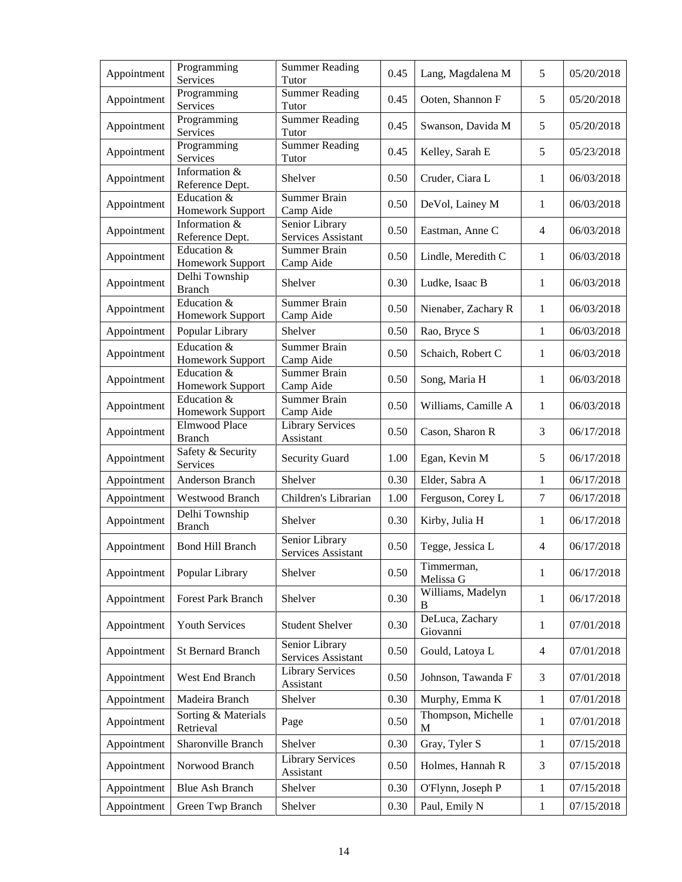| Appointment | Programming<br>Services               | <b>Summer Reading</b><br>Tutor       | 0.45 | Lang, Magdalena M                 | 5              | 05/20/2018 |
|-------------|---------------------------------------|--------------------------------------|------|-----------------------------------|----------------|------------|
| Appointment | Programming<br>Services               | <b>Summer Reading</b><br>Tutor       | 0.45 | Ooten, Shannon F                  | 5              | 05/20/2018 |
| Appointment | Programming<br>Services               | <b>Summer Reading</b><br>Tutor       | 0.45 | Swanson, Davida M                 | 5              | 05/20/2018 |
| Appointment | Programming<br>Services               | <b>Summer Reading</b><br>Tutor       | 0.45 | Kelley, Sarah E                   | 5              | 05/23/2018 |
| Appointment | Information &<br>Reference Dept.      | Shelver                              | 0.50 | Cruder, Ciara L                   | 1              | 06/03/2018 |
| Appointment | Education &<br>Homework Support       | <b>Summer Brain</b><br>Camp Aide     | 0.50 | DeVol, Lainey M                   | $\mathbf{1}$   | 06/03/2018 |
| Appointment | Information &<br>Reference Dept.      | Senior Library<br>Services Assistant | 0.50 | Eastman, Anne C                   | $\overline{4}$ | 06/03/2018 |
| Appointment | Education &<br>Homework Support       | <b>Summer Brain</b><br>Camp Aide     | 0.50 | Lindle, Meredith C                | 1              | 06/03/2018 |
| Appointment | Delhi Township<br><b>Branch</b>       | Shelver                              | 0.30 | Ludke, Isaac B                    | 1              | 06/03/2018 |
| Appointment | Education &<br>Homework Support       | <b>Summer Brain</b><br>Camp Aide     | 0.50 | Nienaber, Zachary R               | 1              | 06/03/2018 |
| Appointment | Popular Library                       | Shelver                              | 0.50 | Rao, Bryce S                      | $\mathbf{1}$   | 06/03/2018 |
| Appointment | Education &<br>Homework Support       | <b>Summer Brain</b><br>Camp Aide     | 0.50 | Schaich, Robert C                 | 1              | 06/03/2018 |
| Appointment | Education &<br>Homework Support       | <b>Summer Brain</b><br>Camp Aide     | 0.50 | Song, Maria H                     | 1              | 06/03/2018 |
| Appointment | Education &<br>Homework Support       | <b>Summer Brain</b><br>Camp Aide     | 0.50 | Williams, Camille A               | 1              | 06/03/2018 |
| Appointment | <b>Elmwood Place</b><br><b>Branch</b> | <b>Library Services</b><br>Assistant | 0.50 | Cason, Sharon R                   | 3              | 06/17/2018 |
| Appointment | Safety & Security<br>Services         | <b>Security Guard</b>                | 1.00 | Egan, Kevin M                     | 5              | 06/17/2018 |
| Appointment | Anderson Branch                       | Shelver                              | 0.30 | Elder, Sabra A                    | 1              | 06/17/2018 |
| Appointment | Westwood Branch                       | Children's Librarian                 | 1.00 | Ferguson, Corey L                 | $\tau$         | 06/17/2018 |
| Appointment | Delhi Township<br><b>Branch</b>       | Shelver                              | 0.30 | Kirby, Julia H                    | 1              | 06/17/2018 |
| Appointment | <b>Bond Hill Branch</b>               | Senior Library<br>Services Assistant | 0.50 | Tegge, Jessica L                  | $\overline{4}$ | 06/17/2018 |
| Appointment | Popular Library                       | Shelver                              | 0.50 | Timmerman,<br>Melissa G           | 1              | 06/17/2018 |
| Appointment | <b>Forest Park Branch</b>             | Shelver                              | 0.30 | Williams, Madelyn<br>B            | $\mathbf{1}$   | 06/17/2018 |
| Appointment | Youth Services                        | <b>Student Shelver</b>               | 0.30 | DeLuca, Zachary<br>Giovanni       | 1              | 07/01/2018 |
| Appointment | <b>St Bernard Branch</b>              | Senior Library<br>Services Assistant | 0.50 | Gould, Latoya L                   | 4              | 07/01/2018 |
| Appointment | West End Branch                       | <b>Library Services</b><br>Assistant | 0.50 | Johnson, Tawanda F                | 3              | 07/01/2018 |
| Appointment | Madeira Branch                        | Shelver                              | 0.30 | Murphy, Emma K                    | $\mathbf{1}$   | 07/01/2018 |
| Appointment | Sorting & Materials<br>Retrieval      | Page                                 | 0.50 | Thompson, Michelle<br>$\mathbf M$ | 1              | 07/01/2018 |
| Appointment | Sharonville Branch                    | Shelver                              | 0.30 | Gray, Tyler S                     | $\mathbf{1}$   | 07/15/2018 |
| Appointment | Norwood Branch                        | <b>Library Services</b><br>Assistant | 0.50 | Holmes, Hannah R                  | 3              | 07/15/2018 |
| Appointment | <b>Blue Ash Branch</b>                | Shelver                              | 0.30 | O'Flynn, Joseph P                 | 1              | 07/15/2018 |
| Appointment | Green Twp Branch                      | Shelver                              | 0.30 | Paul, Emily N                     | $\mathbf{1}$   | 07/15/2018 |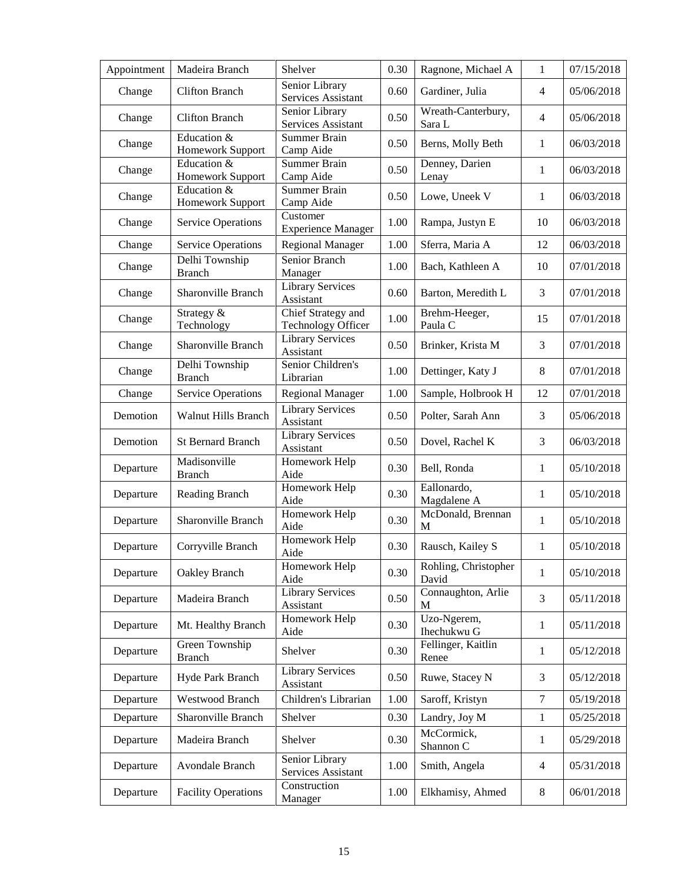| Appointment | Madeira Branch                  | Shelver                                         | 0.30 | Ragnone, Michael A                | $\mathbf{1}$   | 07/15/2018 |
|-------------|---------------------------------|-------------------------------------------------|------|-----------------------------------|----------------|------------|
| Change      | <b>Clifton Branch</b>           | Senior Library<br>Services Assistant            | 0.60 | Gardiner, Julia                   | $\overline{4}$ | 05/06/2018 |
| Change      | <b>Clifton Branch</b>           | Senior Library<br>Services Assistant            | 0.50 | Wreath-Canterbury,<br>Sara L      | $\overline{4}$ | 05/06/2018 |
| Change      | Education &<br>Homework Support | <b>Summer Brain</b><br>Camp Aide                | 0.50 | Berns, Molly Beth                 | $\mathbf{1}$   | 06/03/2018 |
| Change      | Education &<br>Homework Support | <b>Summer Brain</b><br>Camp Aide                | 0.50 | Denney, Darien<br>Lenay           | $\mathbf{1}$   | 06/03/2018 |
| Change      | Education &<br>Homework Support | <b>Summer Brain</b><br>Camp Aide                | 0.50 | Lowe, Uneek V                     | 1              | 06/03/2018 |
| Change      | <b>Service Operations</b>       | Customer<br><b>Experience Manager</b>           | 1.00 | Rampa, Justyn E                   | 10             | 06/03/2018 |
| Change      | <b>Service Operations</b>       | <b>Regional Manager</b>                         | 1.00 | Sferra, Maria A                   | 12             | 06/03/2018 |
| Change      | Delhi Township<br><b>Branch</b> | Senior Branch<br>Manager                        | 1.00 | Bach, Kathleen A                  | 10             | 07/01/2018 |
| Change      | <b>Sharonville Branch</b>       | <b>Library Services</b><br>Assistant            | 0.60 | Barton, Meredith L                | 3              | 07/01/2018 |
| Change      | Strategy &<br>Technology        | Chief Strategy and<br><b>Technology Officer</b> | 1.00 | Brehm-Heeger,<br>Paula C          | 15             | 07/01/2018 |
| Change      | Sharonville Branch              | <b>Library Services</b><br>Assistant            | 0.50 | Brinker, Krista M                 | 3              | 07/01/2018 |
| Change      | Delhi Township<br><b>Branch</b> | Senior Children's<br>Librarian                  | 1.00 | Dettinger, Katy J                 | 8              | 07/01/2018 |
| Change      | <b>Service Operations</b>       | <b>Regional Manager</b>                         | 1.00 | Sample, Holbrook H                | 12             | 07/01/2018 |
| Demotion    | <b>Walnut Hills Branch</b>      | <b>Library Services</b><br>Assistant            | 0.50 | Polter, Sarah Ann                 | 3              | 05/06/2018 |
| Demotion    | <b>St Bernard Branch</b>        | <b>Library Services</b><br>Assistant            | 0.50 | Dovel, Rachel K                   | 3              | 06/03/2018 |
| Departure   | Madisonville<br><b>Branch</b>   | Homework Help<br>Aide                           | 0.30 | Bell, Ronda                       | 1              | 05/10/2018 |
| Departure   | Reading Branch                  | Homework Help<br>Aide                           | 0.30 | Eallonardo,<br>Magdalene A        | 1              | 05/10/2018 |
| Departure   | Sharonville Branch              | Homework Help<br>Aide                           | 0.30 | McDonald, Brennan<br>M            | $\mathbf{1}$   | 05/10/2018 |
| Departure   | Corryville Branch               | Homework Help<br>Aide                           | 0.30 | Rausch, Kailey S                  | 1              | 05/10/2018 |
| Departure   | Oakley Branch                   | Homework Help<br>Aide                           | 0.30 | Rohling, Christopher<br>David     | 1              | 05/10/2018 |
| Departure   | Madeira Branch                  | <b>Library Services</b><br>Assistant            | 0.50 | Connaughton, Arlie<br>$\mathbf M$ | 3              | 05/11/2018 |
| Departure   | Mt. Healthy Branch              | Homework Help<br>Aide                           | 0.30 | Uzo-Ngerem,<br>Ihechukwu G        | 1              | 05/11/2018 |
| Departure   | Green Township<br><b>Branch</b> | Shelver                                         | 0.30 | Fellinger, Kaitlin<br>Renee       | 1              | 05/12/2018 |
| Departure   | Hyde Park Branch                | <b>Library Services</b><br>Assistant            | 0.50 | Ruwe, Stacey N                    | 3              | 05/12/2018 |
| Departure   | <b>Westwood Branch</b>          | Children's Librarian                            | 1.00 | Saroff, Kristyn                   | $\tau$         | 05/19/2018 |
| Departure   | Sharonville Branch              | Shelver                                         | 0.30 | Landry, Joy M                     | $\mathbf{1}$   | 05/25/2018 |
| Departure   | Madeira Branch                  | Shelver                                         | 0.30 | McCormick,<br>Shannon C           | 1              | 05/29/2018 |
| Departure   | Avondale Branch                 | Senior Library<br>Services Assistant            | 1.00 | Smith, Angela                     | $\overline{4}$ | 05/31/2018 |
| Departure   | <b>Facility Operations</b>      | Construction<br>Manager                         | 1.00 | Elkhamisy, Ahmed                  | $\,8\,$        | 06/01/2018 |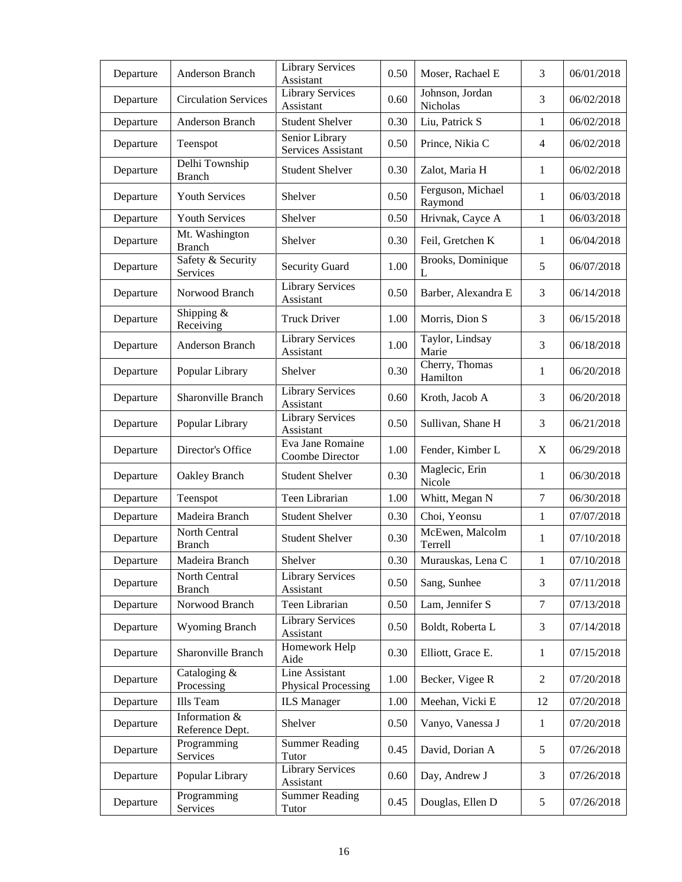| Departure | Anderson Branch                  | <b>Library Services</b><br>Assistant  | 0.50 | Moser, Rachael E             | 3              | 06/01/2018 |
|-----------|----------------------------------|---------------------------------------|------|------------------------------|----------------|------------|
| Departure | <b>Circulation Services</b>      | <b>Library Services</b><br>Assistant  | 0.60 | Johnson, Jordan<br>Nicholas  | 3              | 06/02/2018 |
| Departure | Anderson Branch                  | <b>Student Shelver</b>                | 0.30 | Liu, Patrick S               | 1              | 06/02/2018 |
| Departure | Teenspot                         | Senior Library<br>Services Assistant  | 0.50 | Prince, Nikia C              | 4              | 06/02/2018 |
| Departure | Delhi Township<br><b>Branch</b>  | <b>Student Shelver</b>                | 0.30 | Zalot, Maria H               | 1              | 06/02/2018 |
| Departure | <b>Youth Services</b>            | Shelver                               | 0.50 | Ferguson, Michael<br>Raymond | 1              | 06/03/2018 |
| Departure | <b>Youth Services</b>            | Shelver                               | 0.50 | Hrivnak, Cayce A             | 1              | 06/03/2018 |
| Departure | Mt. Washington<br><b>Branch</b>  | Shelver                               | 0.30 | Feil, Gretchen K             | 1              | 06/04/2018 |
| Departure | Safety & Security<br>Services    | <b>Security Guard</b>                 | 1.00 | Brooks, Dominique<br>L       | 5              | 06/07/2018 |
| Departure | Norwood Branch                   | <b>Library Services</b><br>Assistant  | 0.50 | Barber, Alexandra E          | 3              | 06/14/2018 |
| Departure | Shipping $&$<br>Receiving        | <b>Truck Driver</b>                   | 1.00 | Morris, Dion S               | 3              | 06/15/2018 |
| Departure | Anderson Branch                  | <b>Library Services</b><br>Assistant  | 1.00 | Taylor, Lindsay<br>Marie     | 3              | 06/18/2018 |
| Departure | Popular Library                  | Shelver                               | 0.30 | Cherry, Thomas<br>Hamilton   | 1              | 06/20/2018 |
| Departure | Sharonville Branch               | <b>Library Services</b><br>Assistant  | 0.60 | Kroth, Jacob A               | 3              | 06/20/2018 |
| Departure | Popular Library                  | <b>Library Services</b><br>Assistant  | 0.50 | Sullivan, Shane H            | 3              | 06/21/2018 |
| Departure | Director's Office                | Eva Jane Romaine<br>Coombe Director   | 1.00 | Fender, Kimber L             | X              | 06/29/2018 |
| Departure | Oakley Branch                    | <b>Student Shelver</b>                | 0.30 | Maglecic, Erin<br>Nicole     | 1              | 06/30/2018 |
| Departure | Teenspot                         | Teen Librarian                        | 1.00 | Whitt, Megan N               | $\overline{7}$ | 06/30/2018 |
| Departure | Madeira Branch                   | <b>Student Shelver</b>                | 0.30 | Choi, Yeonsu                 | $\mathbf{1}$   | 07/07/2018 |
| Departure | North Central<br><b>Branch</b>   | <b>Student Shelver</b>                | 0.30 | McEwen, Malcolm<br>Terrell   | 1              | 07/10/2018 |
| Departure | Madeira Branch                   | Shelver                               | 0.30 | Murauskas, Lena C            | $\mathbf{1}$   | 07/10/2018 |
| Departure | North Central<br><b>Branch</b>   | <b>Library Services</b><br>Assistant  | 0.50 | Sang, Sunhee                 | 3              | 07/11/2018 |
| Departure | Norwood Branch                   | Teen Librarian                        | 0.50 | Lam, Jennifer S              | $\tau$         | 07/13/2018 |
| Departure | <b>Wyoming Branch</b>            | <b>Library Services</b><br>Assistant  | 0.50 | Boldt, Roberta L             | 3              | 07/14/2018 |
| Departure | Sharonville Branch               | Homework Help<br>Aide                 | 0.30 | Elliott, Grace E.            | 1              | 07/15/2018 |
| Departure | Cataloging &<br>Processing       | Line Assistant<br>Physical Processing | 1.00 | Becker, Vigee R              | $\overline{2}$ | 07/20/2018 |
| Departure | Ills Team                        | <b>ILS</b> Manager                    | 1.00 | Meehan, Vicki E              | 12             | 07/20/2018 |
| Departure | Information &<br>Reference Dept. | Shelver                               | 0.50 | Vanyo, Vanessa J             | 1              | 07/20/2018 |
| Departure | Programming<br>Services          | <b>Summer Reading</b><br>Tutor        | 0.45 | David, Dorian A              | 5              | 07/26/2018 |
| Departure | Popular Library                  | <b>Library Services</b><br>Assistant  | 0.60 | Day, Andrew J                | 3              | 07/26/2018 |
| Departure | Programming<br>Services          | <b>Summer Reading</b><br>Tutor        | 0.45 | Douglas, Ellen D             | 5              | 07/26/2018 |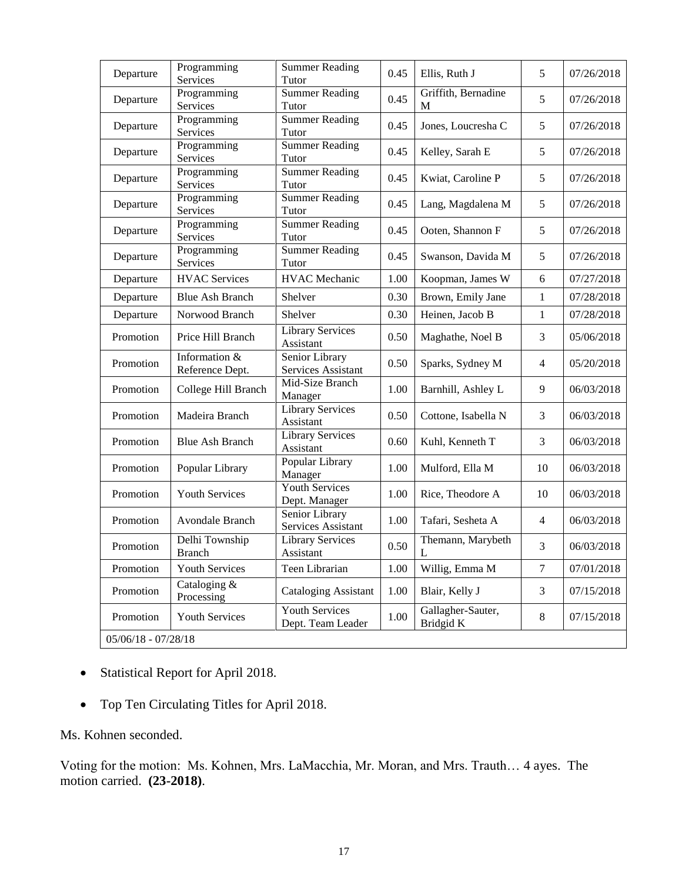| Departure             | Programming<br>Services          | <b>Summer Reading</b><br>Tutor             | 0.45 | Ellis, Ruth J                  | 5              | 07/26/2018 |
|-----------------------|----------------------------------|--------------------------------------------|------|--------------------------------|----------------|------------|
| Departure             | Programming<br>Services          | <b>Summer Reading</b><br>Tutor             | 0.45 | Griffith, Bernadine<br>M       | 5              | 07/26/2018 |
| Departure             | Programming<br>Services          | <b>Summer Reading</b><br>Tutor             | 0.45 | Jones, Loucresha C             | 5              | 07/26/2018 |
| Departure             | Programming<br>Services          | <b>Summer</b> Reading<br>Tutor             | 0.45 | Kelley, Sarah E                | 5              | 07/26/2018 |
| Departure             | Programming<br>Services          | <b>Summer Reading</b><br>Tutor             | 0.45 | Kwiat, Caroline P              | 5              | 07/26/2018 |
| Departure             | Programming<br>Services          | <b>Summer Reading</b><br>Tutor             | 0.45 | Lang, Magdalena M              | 5              | 07/26/2018 |
| Departure             | Programming<br>Services          | <b>Summer Reading</b><br>Tutor             | 0.45 | Ooten, Shannon F               | 5              | 07/26/2018 |
| Departure             | Programming<br>Services          | <b>Summer Reading</b><br>Tutor             | 0.45 | Swanson, Davida M              | 5              | 07/26/2018 |
| Departure             | <b>HVAC</b> Services             | <b>HVAC</b> Mechanic                       | 1.00 | Koopman, James W               | 6              | 07/27/2018 |
| Departure             | <b>Blue Ash Branch</b>           | Shelver                                    | 0.30 | Brown, Emily Jane              | 1              | 07/28/2018 |
| Departure             | Norwood Branch                   | Shelver                                    | 0.30 | Heinen, Jacob B                | 1              | 07/28/2018 |
| Promotion             | Price Hill Branch                | <b>Library Services</b><br>Assistant       | 0.50 | Maghathe, Noel B               | 3              | 05/06/2018 |
| Promotion             | Information &<br>Reference Dept. | Senior Library<br>Services Assistant       | 0.50 | Sparks, Sydney M               | $\overline{4}$ | 05/20/2018 |
| Promotion             | College Hill Branch              | Mid-Size Branch<br>Manager                 | 1.00 | Barnhill, Ashley L             | 9              | 06/03/2018 |
| Promotion             | Madeira Branch                   | <b>Library Services</b><br>Assistant       | 0.50 | Cottone, Isabella N            | 3              | 06/03/2018 |
| Promotion             | <b>Blue Ash Branch</b>           | <b>Library Services</b><br>Assistant       | 0.60 | Kuhl, Kenneth T                | 3              | 06/03/2018 |
| Promotion             | Popular Library                  | Popular Library<br>Manager                 | 1.00 | Mulford, Ella M                | 10             | 06/03/2018 |
| Promotion             | <b>Youth Services</b>            | Youth Services<br>Dept. Manager            | 1.00 | Rice, Theodore A               | 10             | 06/03/2018 |
| Promotion             | Avondale Branch                  | Senior Library<br>Services Assistant       | 1.00 | Tafari, Sesheta A              | $\overline{4}$ | 06/03/2018 |
| Promotion             | Delhi Township<br><b>Branch</b>  | <b>Library Services</b><br>Assistant       | 0.50 | Themann, Marybeth<br>L         | 3              | 06/03/2018 |
| Promotion             | Youth Services                   | Teen Librarian                             | 1.00 | Willig, Emma M                 | $\tau$         | 07/01/2018 |
| Promotion             | Cataloging &<br>Processing       | <b>Cataloging Assistant</b>                | 1.00 | Blair, Kelly J                 | 3              | 07/15/2018 |
| Promotion             | Youth Services                   | <b>Youth Services</b><br>Dept. Team Leader | 1.00 | Gallagher-Sauter,<br>Bridgid K | $\,8\,$        | 07/15/2018 |
| $05/06/18 - 07/28/18$ |                                  |                                            |      |                                |                |            |

- Statistical Report for April 2018.
- Top Ten Circulating Titles for April 2018.

Ms. Kohnen seconded.

Voting for the motion: Ms. Kohnen, Mrs. LaMacchia, Mr. Moran, and Mrs. Trauth… 4 ayes. The motion carried. **(23-2018)**.